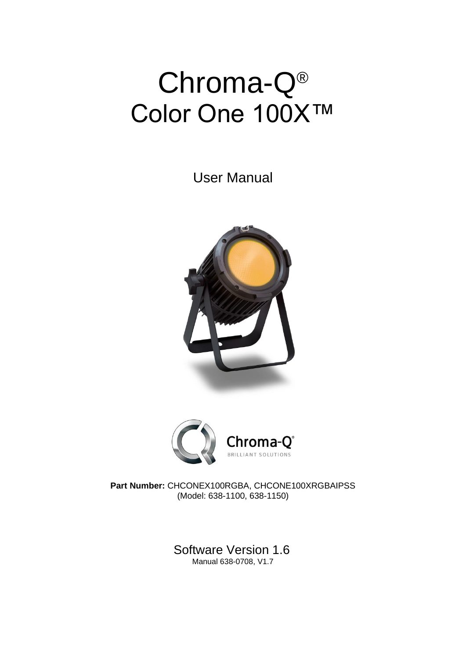# Chroma-Q® Color One 100X™

User Manual





**Part Number:** CHCONEX100RGBA, CHCONE100XRGBAIPSS (Model: 638-1100, 638-1150)

> Software Version 1.6 Manual 638-0708, V1.7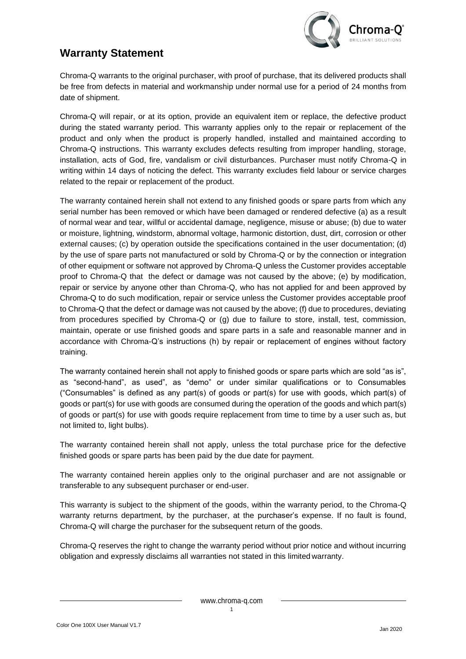

# **Warranty Statement**

Chroma-Q warrants to the original purchaser, with proof of purchase, that its delivered products shall be free from defects in material and workmanship under normal use for a period of 24 months from date of shipment.

Chroma-Q will repair, or at its option, provide an equivalent item or replace, the defective product during the stated warranty period. This warranty applies only to the repair or replacement of the product and only when the product is properly handled, installed and maintained according to Chroma-Q instructions. This warranty excludes defects resulting from improper handling, storage, installation, acts of God, fire, vandalism or civil disturbances. Purchaser must notify Chroma-Q in writing within 14 days of noticing the defect. This warranty excludes field labour or service charges related to the repair or replacement of the product.

The warranty contained herein shall not extend to any finished goods or spare parts from which any serial number has been removed or which have been damaged or rendered defective (a) as a result of normal wear and tear, willful or accidental damage, negligence, misuse or abuse; (b) due to water or moisture, lightning, windstorm, abnormal voltage, harmonic distortion, dust, dirt, corrosion or other external causes; (c) by operation outside the specifications contained in the user documentation; (d) by the use of spare parts not manufactured or sold by Chroma-Q or by the connection or integration of other equipment or software not approved by Chroma-Q unless the Customer provides acceptable proof to Chroma-Q that the defect or damage was not caused by the above; (e) by modification, repair or service by anyone other than Chroma-Q, who has not applied for and been approved by Chroma-Q to do such modification, repair or service unless the Customer provides acceptable proof to Chroma-Q that the defect or damage was not caused by the above; (f) due to procedures, deviating from procedures specified by Chroma-Q or (g) due to failure to store, install, test, commission, maintain, operate or use finished goods and spare parts in a safe and reasonable manner and in accordance with Chroma-Q's instructions (h) by repair or replacement of engines without factory training.

The warranty contained herein shall not apply to finished goods or spare parts which are sold "as is", as "second-hand", as used", as "demo" or under similar qualifications or to Consumables ("Consumables" is defined as any part(s) of goods or part(s) for use with goods, which part(s) of goods or part(s) for use with goods are consumed during the operation of the goods and which part(s) of goods or part(s) for use with goods require replacement from time to time by a user such as, but not limited to, light bulbs).

The warranty contained herein shall not apply, unless the total purchase price for the defective finished goods or spare parts has been paid by the due date for payment.

The warranty contained herein applies only to the original purchaser and are not assignable or transferable to any subsequent purchaser or end-user.

This warranty is subject to the shipment of the goods, within the warranty period, to the Chroma-Q warranty returns department, by the purchaser, at the purchaser's expense. If no fault is found, Chroma-Q will charge the purchaser for the subsequent return of the goods.

Chroma-Q reserves the right to change the warranty period without prior notice and without incurring obligation and expressly disclaims all warranties not stated in this limited warranty.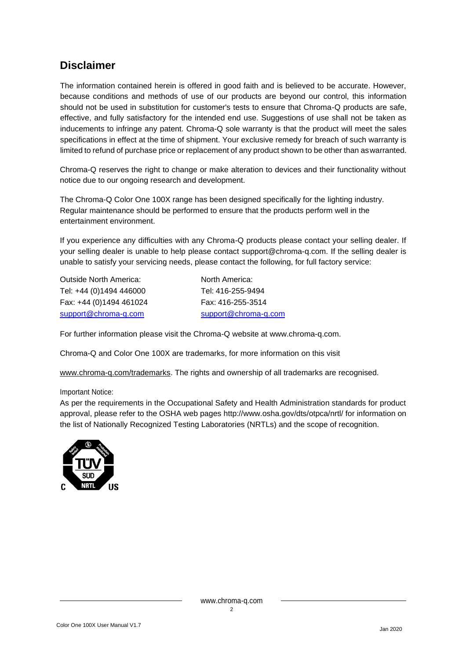# **Disclaimer**

The information contained herein is offered in good faith and is believed to be accurate. However, because conditions and methods of use of our products are beyond our control, this information should not be used in substitution for customer's tests to ensure that Chroma-Q products are safe, effective, and fully satisfactory for the intended end use. Suggestions of use shall not be taken as inducements to infringe any patent. Chroma-Q sole warranty is that the product will meet the sales specifications in effect at the time of shipment. Your exclusive remedy for breach of such warranty is limited to refund of purchase price or replacement of any product shown to be other than aswarranted.

Chroma-Q reserves the right to change or make alteration to devices and their functionality without notice due to our ongoing research and development.

The Chroma-Q Color One 100X range has been designed specifically for the lighting industry. Regular maintenance should be performed to ensure that the products perform well in the entertainment environment.

If you experience any difficulties with any Chroma-Q products please contact your selling dealer. If your selling dealer is unable to help please contact [support@chroma-q.com.](mailto:support@chroma-q.com) If the selling dealer is unable to satisfy your servicing needs, please contact the following, for full factory service:

Outside North America: North America: Tel: +44 (0)1494 446000 Tel: 416-255-9494 Fax: +44 (0)1494 461024 Fax: 416-255-3514 [support@chroma-q.com](mailto:support@chroma-q.com) [support@chroma-q.com](mailto:support@chroma-q.com)

For further information please visit the Chroma-Q website at [www.chroma-q.com.](http://www.chroma-q.com/)

Chroma-Q and Color One 100X are trademarks, for more information on this visit

[www.chroma-q.com/trademarks.](http://www.chroma-q.com/trademarks) The rights and ownership of all trademarks are recognised.

Important Notice:

As per the requirements in the Occupational Safety and Health Administration standards for product approval, please refer to the OSHA web pages<http://www.osha.gov/dts/otpca/nrtl/> for information on the list of Nationally Recognized Testing Laboratories (NRTLs) and the scope of recognition.

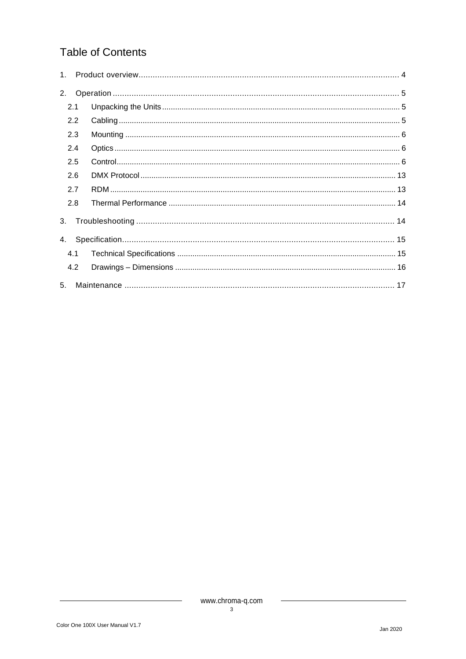# **Table of Contents**

|                | 2.1 |  |
|----------------|-----|--|
|                | 2.2 |  |
|                | 2.3 |  |
|                | 2.4 |  |
|                | 2.5 |  |
|                | 2.6 |  |
|                | 2.7 |  |
|                | 2.8 |  |
| 3.             |     |  |
|                |     |  |
|                | 4.1 |  |
|                | 4.2 |  |
| 5 <sub>1</sub> |     |  |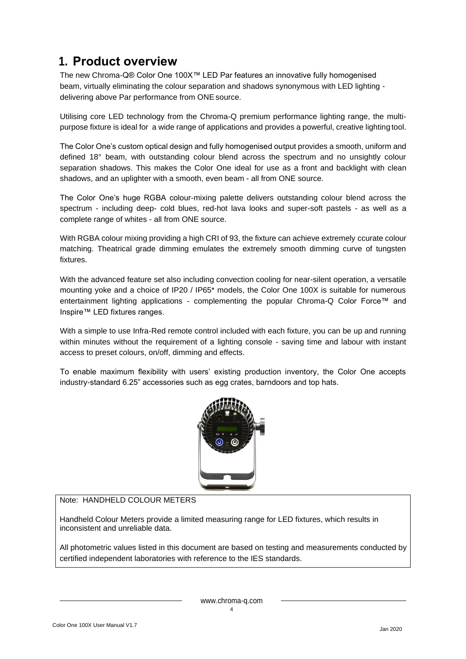# <span id="page-4-0"></span>**1. Product overview**

The new Chroma-Q® Color One 100X™ LED Par features an innovative fully homogenised beam, virtually eliminating the colour separation and shadows synonymous with LED lighting delivering above Par performance from ONE source.

Utilising core LED technology from the Chroma-Q premium performance lighting range, the multipurpose fixture is ideal for a wide range of applications and provides a powerful, creative lighting tool.

The Color One's custom optical design and fully homogenised output provides a smooth, uniform and defined 18° beam, with outstanding colour blend across the spectrum and no unsightly colour separation shadows. This makes the Color One ideal for use as a front and backlight with clean shadows, and an uplighter with a smooth, even beam - all from ONE source.

The Color One's huge RGBA colour-mixing palette delivers outstanding colour blend across the spectrum - including deep- cold blues, red-hot lava looks and super-soft pastels - as well as a complete range of whites - all from ONE source.

With RGBA colour mixing providing a high CRI of 93, the fixture can achieve extremely ccurate colour matching. Theatrical grade dimming emulates the extremely smooth dimming curve of tungsten fixtures.

With the advanced feature set also including convection cooling for near-silent operation, a versatile mounting yoke and a choice of IP20 / IP65\* models, the Color One 100X is suitable for numerous entertainment lighting applications - complementing the popular Chroma-Q Color Force™ and Inspire™ LED fixtures ranges.

With a simple to use Infra-Red remote control included with each fixture, you can be up and running within minutes without the requirement of a lighting console - saving time and labour with instant access to preset colours, on/off, dimming and effects.

To enable maximum flexibility with users' existing production inventory, the Color One accepts industry-standard 6.25" accessories such as egg crates, barndoors and top hats.



Note: HANDHELD COLOUR METERS

Handheld Colour Meters provide a limited measuring range for LED fixtures, which results in inconsistent and unreliable data.

All photometric values listed in this document are based on testing and measurements conducted by certified independent laboratories with reference to the IES standards.

[www.chroma-q.com](http://www.chroma-q.com/)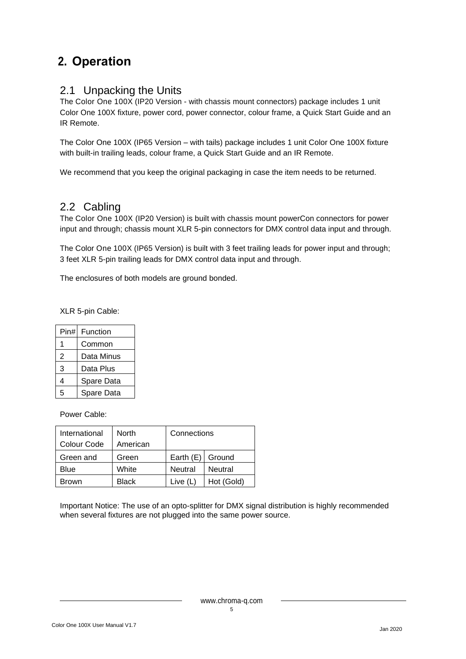# <span id="page-5-0"></span>**2. Operation**

### <span id="page-5-1"></span>2.1 Unpacking the Units

The Color One 100X (IP20 Version - with chassis mount connectors) package includes 1 unit Color One 100X fixture, power cord, power connector, colour frame, a Quick Start Guide and an IR Remote.

The Color One 100X (IP65 Version – with tails) package includes 1 unit Color One 100X fixture with built-in trailing leads, colour frame, a Quick Start Guide and an IR Remote.

We recommend that you keep the original packaging in case the item needs to be returned.

### <span id="page-5-2"></span>2.2 Cabling

The Color One 100X (IP20 Version) is built with chassis mount powerCon connectors for power input and through; chassis mount XLR 5-pin connectors for DMX control data input and through.

The Color One 100X (IP65 Version) is built with 3 feet trailing leads for power input and through; 3 feet XLR 5-pin trailing leads for DMX control data input and through.

The enclosures of both models are ground bonded.

XLR 5-pin Cable:

| Pin# | Function   |
|------|------------|
| 1    | Common     |
| 2    | Data Minus |
| 3    | Data Plus  |
| 4    | Spare Data |
| 5    | Spare Data |

Power Cable:

| International | <b>North</b> | Connections        |                |  |
|---------------|--------------|--------------------|----------------|--|
| Colour Code   | American     |                    |                |  |
| Green and     | Green        | Earth $(E)$ Ground |                |  |
| Blue          | White        | Neutral            | <b>Neutral</b> |  |
| Brown         | <b>Black</b> | Live $(L)$         | Hot (Gold)     |  |

Important Notice: The use of an opto-splitter for DMX signal distribution is highly recommended when several fixtures are not plugged into the same power source.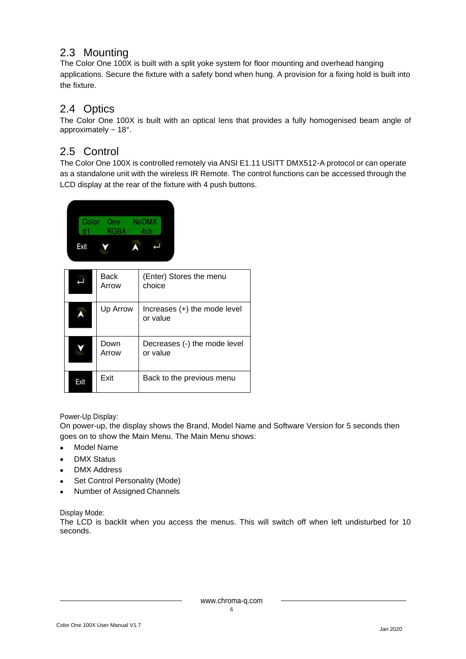## <span id="page-6-0"></span>2.3 Mounting

The Color One 100X is built with a split yoke system for floor mounting and overhead hanging applications. Secure the fixture with a safety bond when hung. A provision for a fixing hold is built into the fixture.

### <span id="page-6-1"></span>2.4 Optics

The Color One 100X is built with an optical lens that provides a fully homogenised beam angle of approximately ~ 18°.

## <span id="page-6-2"></span>2.5 Control

The Color One 100X is controlled remotely via ANSI E1.11 USITT DMX512-A protocol or can operate as a standalone unit with the wireless IR Remote. The control functions can be accessed through the LCD display at the rear of the fixture with 4 push buttons.



|      | Back<br>Arrow | (Enter) Stores the menu<br>choice          |
|------|---------------|--------------------------------------------|
|      | Up Arrow      | Increases $(+)$ the mode level<br>or value |
|      | Down<br>Arrow | Decreases (-) the mode level<br>or value   |
| Exit | Exit          | Back to the previous menu                  |

#### Power-Up Display:

On power-up, the display shows the Brand, Model Name and Software Version for 5 seconds then goes on to show the Main Menu. The Main Menu shows:

- Model Name
- DMX Status
- DMX Address
- Set Control Personality (Mode)
- Number of Assigned Channels

#### Display Mode:

The LCD is backlit when you access the menus. This will switch off when left undisturbed for 10 seconds.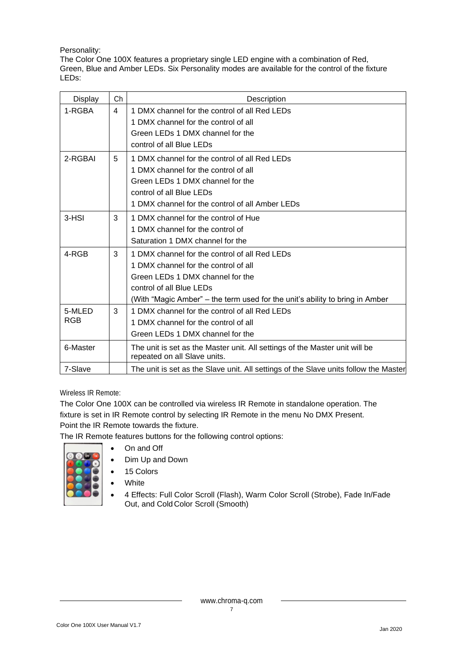#### Personality:

The Color One 100X features a proprietary single LED engine with a combination of Red, Green, Blue and Amber LEDs. Six Personality modes are available for the control of the fixture LEDs:

| <b>Display</b> | Ch                                            | Description                                                                                                 |
|----------------|-----------------------------------------------|-------------------------------------------------------------------------------------------------------------|
| 1-RGBA         | 1 DMX channel for the control of all Red LEDs |                                                                                                             |
|                |                                               | 1 DMX channel for the control of all                                                                        |
|                |                                               | Green LEDs 1 DMX channel for the                                                                            |
|                |                                               | control of all Blue LEDs                                                                                    |
| 2-RGBAI        | 5                                             | 1 DMX channel for the control of all Red LEDs                                                               |
|                |                                               | 1 DMX channel for the control of all                                                                        |
|                |                                               | Green LEDs 1 DMX channel for the                                                                            |
|                |                                               | control of all Blue LEDs                                                                                    |
|                |                                               | 1 DMX channel for the control of all Amber LEDs                                                             |
| 3-HSI          | 3                                             | 1 DMX channel for the control of Hue                                                                        |
|                |                                               | 1 DMX channel for the control of                                                                            |
|                |                                               | Saturation 1 DMX channel for the                                                                            |
| 4-RGB          | 3                                             | 1 DMX channel for the control of all Red LEDs                                                               |
|                |                                               | 1 DMX channel for the control of all                                                                        |
|                |                                               | Green LEDs 1 DMX channel for the                                                                            |
|                |                                               | control of all Blue LEDs                                                                                    |
|                |                                               | (With "Magic Amber" – the term used for the unit's ability to bring in Amber                                |
| 5-MLED         | 3                                             | 1 DMX channel for the control of all Red LEDs                                                               |
| <b>RGB</b>     |                                               | 1 DMX channel for the control of all                                                                        |
|                |                                               | Green LEDs 1 DMX channel for the                                                                            |
| 6-Master       |                                               | The unit is set as the Master unit. All settings of the Master unit will be<br>repeated on all Slave units. |
| 7-Slave        |                                               | The unit is set as the Slave unit. All settings of the Slave units follow the Master                        |

Wireless IR Remote:

The Color One 100X can be controlled via wireless IR Remote in standalone operation. The fixture is set in IR Remote control by selecting IR Remote in the menu No DMX Present. Point the IR Remote towards the fixture.

The IR Remote features buttons for the following control options:

- On and Off
- Dim Up and Down
- 15 Colors
- **White**
- 4 Effects: Full Color Scroll (Flash), Warm Color Scroll (Strobe), Fade In/Fade Out, and ColdColor Scroll (Smooth)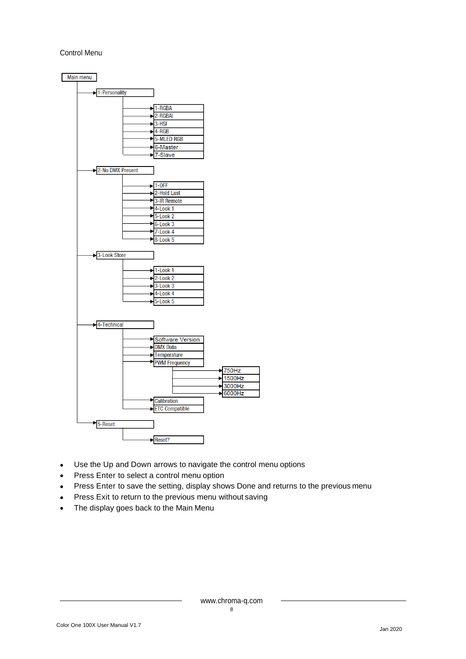#### Control Menu



- Use the Up and Down arrows to navigate the control menu options
- Press Enter to select a control menu option
- Press Enter to save the setting, display shows Done and returns to the previous menu
- Press Exit to return to the previous menu without saving
- The display goes back to the Main Menu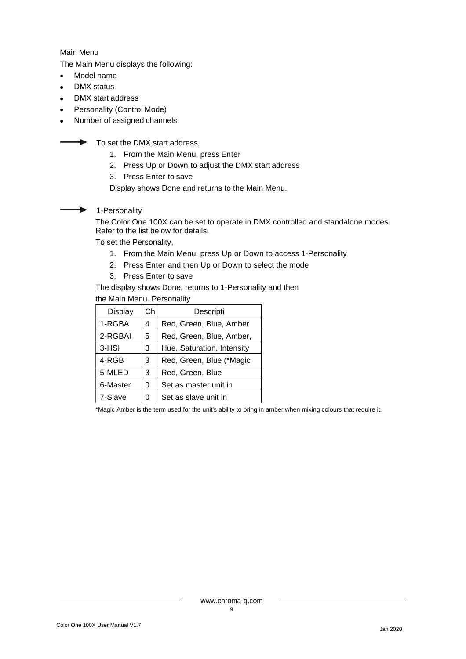Main Menu

The Main Menu displays the following:

- Model name
- DMX status
- DMX start address
- Personality (Control Mode)
- Number of assigned channels

 $\rightarrow$  To set the DMX start address.

- 1. From the Main Menu, press Enter
- 2. Press Up or Down to adjust the DMX start address
- 3. Press Enter to save

Display shows Done and returns to the Main Menu.

 $\blacktriangleright$ 1-Personality

> The Color One 100X can be set to operate in DMX controlled and standalone modes. Refer to the list below for details.

To set the Personality,

- 1. From the Main Menu, press Up or Down to access 1-Personality
- 2. Press Enter and then Up or Down to select the mode
- 3. Press Enter to save

The display shows Done, returns to 1-Personality and then

the Main Menu. Personality

| Display  | Ch | Descripti                  |  |
|----------|----|----------------------------|--|
| 1-RGBA   | 4  | Red, Green, Blue, Amber    |  |
| 2-RGBAI  | 5  | Red, Green, Blue, Amber,   |  |
| 3-HSI    | 3  | Hue, Saturation, Intensity |  |
| 4-RGB    | 3  | Red, Green, Blue (*Magic   |  |
| 5-MLED   | 3  | Red, Green, Blue           |  |
| 6-Master | 0  | Set as master unit in      |  |
| 7-Slave  | 0  | Set as slave unit in       |  |

\*Magic Amber is the term used for the unit's ability to bring in amber when mixing colours that require it.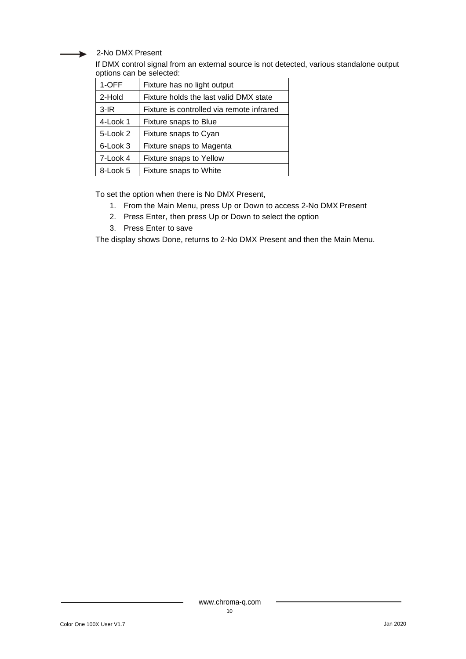2-No DMX Present

If DMX control signal from an external source is not detected, various standalone output options can be selected:

| 1-OFF    | Fixture has no light output               |  |  |  |
|----------|-------------------------------------------|--|--|--|
| 2-Hold   | Fixture holds the last valid DMX state    |  |  |  |
| $3-HR$   | Fixture is controlled via remote infrared |  |  |  |
| 4-Look 1 | Fixture snaps to Blue                     |  |  |  |
| 5-Look 2 | Fixture snaps to Cyan                     |  |  |  |
| 6-Look 3 | Fixture snaps to Magenta                  |  |  |  |
| 7-Look 4 | Fixture snaps to Yellow                   |  |  |  |
| 8-Look 5 | Fixture snaps to White                    |  |  |  |

To set the option when there is No DMX Present,

- 1. From the Main Menu, press Up or Down to access 2-No DMX Present
- 2. Press Enter, then press Up or Down to select the option
- 3. Press Enter to save

The display shows Done, returns to 2-No DMX Present and then the Main Menu.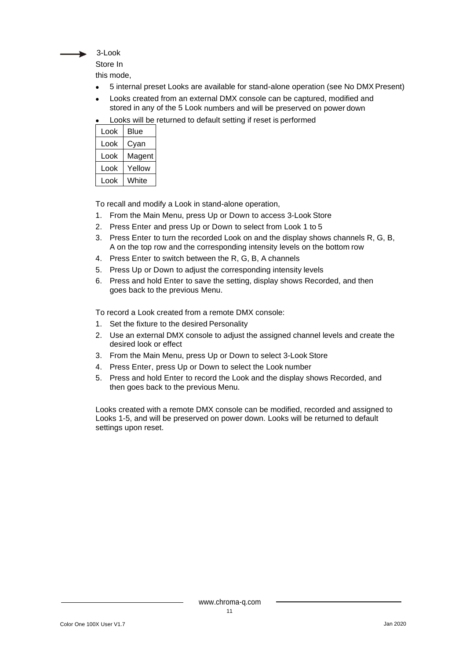

Store In

this mode,

- 5 internal preset Looks are available for stand-alone operation (see No DMXPresent)
- Looks created from an external DMX console can be captured, modified and stored in any of the 5 Look numbers and will be preserved on power down
- Looks will be returned to default setting if reset is performed

| Look | Blue   |
|------|--------|
| Look | Cyan   |
| Look | Magent |
| Look | Yellow |
| Look | White  |

To recall and modify a Look in stand-alone operation,

- 1. From the Main Menu, press Up or Down to access 3-Look Store
- 2. Press Enter and press Up or Down to select from Look 1 to 5
- 3. Press Enter to turn the recorded Look on and the display shows channels R, G, B, A on the top row and the corresponding intensity levels on the bottom row
- 4. Press Enter to switch between the R, G, B, A channels
- 5. Press Up or Down to adjust the corresponding intensity levels
- 6. Press and hold Enter to save the setting, display shows Recorded, and then goes back to the previous Menu.

To record a Look created from a remote DMX console:

- 1. Set the fixture to the desired Personality
- 2. Use an external DMX console to adjust the assigned channel levels and create the desired look or effect
- 3. From the Main Menu, press Up or Down to select 3-Look Store
- 4. Press Enter, press Up or Down to select the Look number
- 5. Press and hold Enter to record the Look and the display shows Recorded, and then goes back to the previous Menu.

Looks created with a remote DMX console can be modified, recorded and assigned to Looks 1-5, and will be preserved on power down. Looks will be returned to default settings upon reset.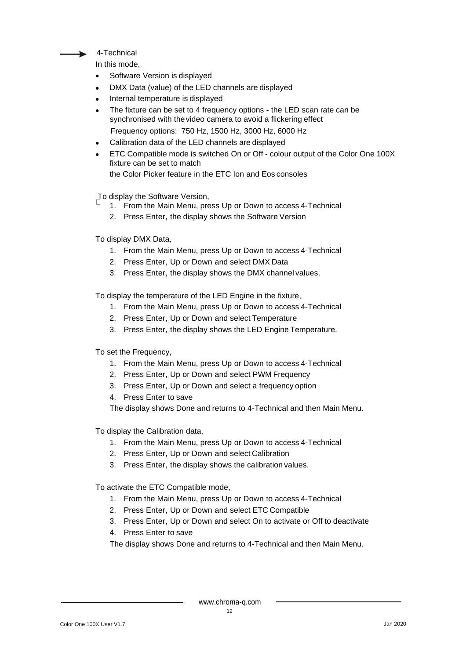

In this mode,

- Software Version is displayed
- DMX Data (value) of the LED channels are displayed
- Internal temperature is displayed
- The fixture can be set to 4 frequency options the LED scan rate can be synchronised with thevideo camera to avoid a flickering effect Frequency options: 750 Hz, 1500 Hz, 3000 Hz, 6000 Hz
- Calibration data of the LED channels are displayed
- ETC Compatible mode is switched On or Off colour output of the Color One 100X fixture can be set to match

the Color Picker feature in the ETC Ion and Eos consoles

To display the Software Version,

- 1. From the Main Menu, press Up or Down to access 4-Technical
- 2. Press Enter, the display shows the Software Version

To display DMX Data,

- 1. From the Main Menu, press Up or Down to access 4-Technical
- 2. Press Enter, Up or Down and select DMX Data
- 3. Press Enter, the display shows the DMX channel values.

To display the temperature of the LED Engine in the fixture,

- 1. From the Main Menu, press Up or Down to access 4-Technical
- 2. Press Enter, Up or Down and select Temperature
- 3. Press Enter, the display shows the LED Engine Temperature.

To set the Frequency,

- 1. From the Main Menu, press Up or Down to access 4-Technical
- 2. Press Enter, Up or Down and select PWM Frequency
- 3. Press Enter, Up or Down and select a frequency option

4. Press Enter to save

The display shows Done and returns to 4-Technical and then Main Menu.

To display the Calibration data,

- 1. From the Main Menu, press Up or Down to access 4-Technical
- 2. Press Enter, Up or Down and select Calibration
- 3. Press Enter, the display shows the calibration values.

To activate the ETC Compatible mode,

- 1. From the Main Menu, press Up or Down to access 4-Technical
- 2. Press Enter, Up or Down and select ETC Compatible
- 3. Press Enter, Up or Down and select On to activate or Off to deactivate
- 4. Press Enter to save

The display shows Done and returns to 4-Technical and then Main Menu.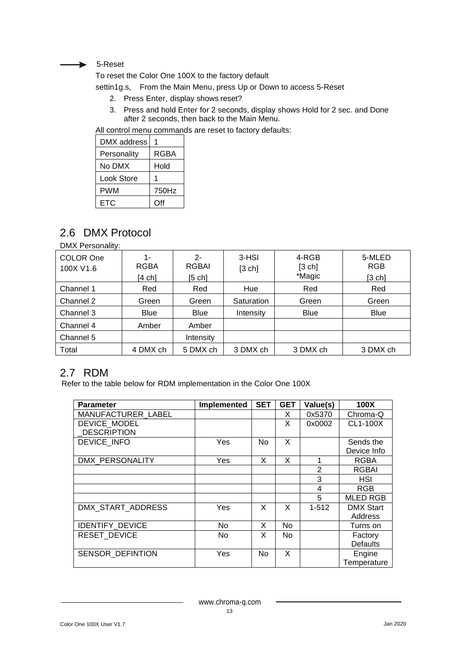#### $\rightarrow$  5-Reset

To reset the Color One 100X to the factory default

settin1g.s, From the Main Menu, press Up or Down to access 5-Reset

- 2. Press Enter, display shows reset?
- 3. Press and hold Enter for 2 seconds, display shows Hold for 2 sec. and Done after 2 seconds, then back to the Main Menu.

All control menu commands are reset to factory defaults:

| DMX address |             |
|-------------|-------------|
| Personality | <b>RGBA</b> |
| No DMX      | Hold        |
| Look Store  |             |
| PWM         | 750Hz       |
| ETC         | Off         |

## <span id="page-13-0"></span>2.6 DMX Protocol

DMX Personality:

| COLOR One<br>100X V1.6 | $1 -$<br><b>RGBA</b> | $2 -$<br>RGBAI | 3-HSI<br>[3 ch] | 4-RGB<br>[3 ch] | 5-MLED<br><b>RGB</b> |
|------------------------|----------------------|----------------|-----------------|-----------------|----------------------|
|                        | [4 ch]               | [5 ch]         |                 | *Magic          | [3 ch]               |
| Channel 1              | Red                  | Red            | Hue             | Red             | Red                  |
| Channel 2              | Green                | Green          | Saturation      | Green           | Green                |
| Channel 3              | <b>Blue</b>          | <b>Blue</b>    | Intensity       | <b>Blue</b>     | <b>Blue</b>          |
| Channel 4              | Amber                | Amber          |                 |                 |                      |
| Channel 5              |                      | Intensity      |                 |                 |                      |
| Total                  | 4 DMX ch             | 5 DMX ch       | 3 DMX ch        | 3 DMX ch        | 3 DMX ch             |

### <span id="page-13-1"></span>2.7 RDM

Refer to the table below for RDM implementation in the Color One 100X

| <b>Parameter</b>        | Implemented | <b>SET</b> | <b>GET</b> | Value(s)  | 100X             |
|-------------------------|-------------|------------|------------|-----------|------------------|
| MANUFACTURER LABEL      |             |            | X          | 0x5370    | Chroma-Q         |
| DEVICE MODEL            |             |            | X          | 0x0002    | CL1-100X         |
| <b>DESCRIPTION</b>      |             |            |            |           |                  |
| DEVICE INFO             | Yes         | No.        | X          |           | Sends the        |
|                         |             |            |            |           | Device Info      |
| DMX PERSONALITY         | Yes         | X          | X          | 1         | <b>RGBA</b>      |
|                         |             |            |            | 2         | <b>RGBAI</b>     |
|                         |             |            |            | 3         | <b>HSI</b>       |
|                         |             |            |            | 4         | <b>RGB</b>       |
|                         |             |            |            | 5         | <b>MLED RGB</b>  |
| DMX START ADDRESS       | Yes         | X          | X          | $1 - 512$ | <b>DMX Start</b> |
|                         |             |            |            |           | Address          |
| <b>IDENTIFY DEVICE</b>  | <b>No</b>   | X          | <b>No</b>  |           | Turns on         |
| <b>RESET DEVICE</b>     | <b>No</b>   | X          | No.        |           | Factory          |
|                         |             |            |            |           | <b>Defaults</b>  |
| <b>SENSOR DEFINTION</b> | Yes         | <b>No</b>  | X          |           | Engine           |
|                         |             |            |            |           | Temperature      |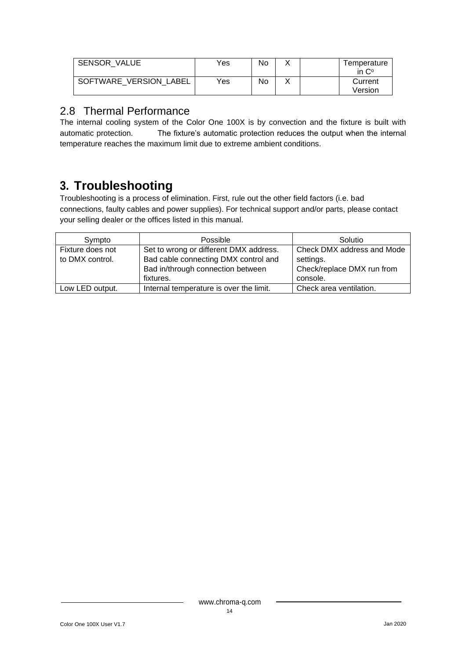| <b>SENSOR VALUE</b>    | Yes | No |  | Temperature<br>in $C^{\circ}$ |
|------------------------|-----|----|--|-------------------------------|
| SOFTWARE VERSION LABEL | Yes | No |  | Current<br>Version            |

### 2.8 Thermal Performance

The internal cooling system of the Color One 100X is by convection and the fixture is built with automatic protection. The fixture's automatic protection reduces the output when the internal temperature reaches the maximum limit due to extreme ambient conditions.

# <span id="page-14-0"></span>**3. Troubleshooting**

Troubleshooting is a process of elimination. First, rule out the other field factors (i.e. bad connections, faulty cables and power supplies). For technical support and/or parts, please contact your selling dealer or the offices listed in this manual.

| Sympto           | Possible                                | Solutio                    |
|------------------|-----------------------------------------|----------------------------|
| Fixture does not | Set to wrong or different DMX address.  | Check DMX address and Mode |
| to DMX control.  | Bad cable connecting DMX control and    | settings.                  |
|                  | Bad in/through connection between       | Check/replace DMX run from |
|                  | fixtures.                               | console.                   |
| Low LED output.  | Internal temperature is over the limit. | Check area ventilation.    |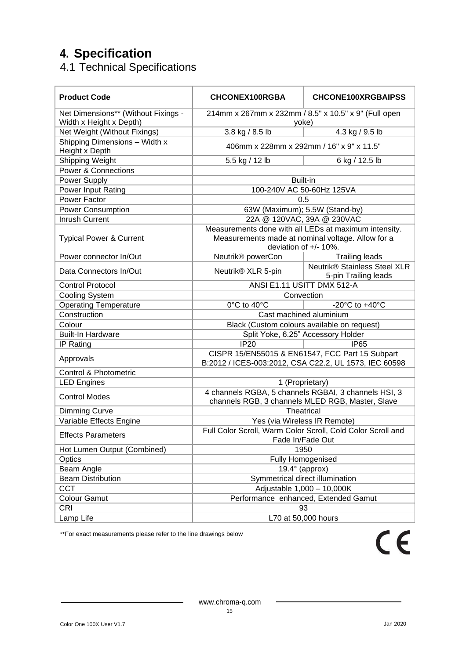# <span id="page-15-0"></span>**4. Specification**

<span id="page-15-1"></span>4.1 Technical Specifications

| <b>Product Code</b>                                            | <b>CHCONEX100RGBA</b>                                                                                                               | <b>CHCONE100XRGBAIPSS</b>                                   |  |
|----------------------------------------------------------------|-------------------------------------------------------------------------------------------------------------------------------------|-------------------------------------------------------------|--|
| Net Dimensions** (Without Fixings -<br>Width x Height x Depth) | 214mm x 267mm x 232mm / 8.5" x 10.5" x 9" (Full open<br>yoke)                                                                       |                                                             |  |
| Net Weight (Without Fixings)                                   | 3.8 kg / 8.5 lb                                                                                                                     | 4.3 kg / 9.5 lb                                             |  |
| Shipping Dimensions - Width x<br>Height x Depth                | 406mm x 228mm x 292mm / 16" x 9" x 11.5"                                                                                            |                                                             |  |
| Shipping Weight                                                | 5.5 kg / 12 lb                                                                                                                      | 6 kg / 12.5 lb                                              |  |
| <b>Power &amp; Connections</b>                                 |                                                                                                                                     |                                                             |  |
| Power Supply                                                   | Built-in                                                                                                                            |                                                             |  |
| Power Input Rating                                             | 100-240V AC 50-60Hz 125VA                                                                                                           |                                                             |  |
| Power Factor                                                   | 0.5                                                                                                                                 |                                                             |  |
| <b>Power Consumption</b>                                       | 63W (Maximum); 5.5W (Stand-by)                                                                                                      |                                                             |  |
| Inrush Current                                                 | 22A @ 120VAC, 39A @ 230VAC                                                                                                          |                                                             |  |
| <b>Typical Power &amp; Current</b>                             | Measurements done with all LEDs at maximum intensity.<br>Measurements made at nominal voltage. Allow for a<br>deviation of +/- 10%. |                                                             |  |
| Power connector In/Out                                         | Neutrik <sup>®</sup> powerCon                                                                                                       | <b>Trailing leads</b>                                       |  |
| Data Connectors In/Out                                         | Neutrik <sup>®</sup> XLR 5-pin                                                                                                      | <b>Neutrik® Stainless Steel XLR</b><br>5-pin Trailing leads |  |
| <b>Control Protocol</b>                                        | ANSI E1.11 USITT DMX 512-A                                                                                                          |                                                             |  |
| Cooling System                                                 | Convection                                                                                                                          |                                                             |  |
| <b>Operating Temperature</b>                                   | 0°C to 40°C                                                                                                                         | -20 $^{\circ}$ C to +40 $^{\circ}$ C                        |  |
| Construction                                                   | Cast machined aluminium                                                                                                             |                                                             |  |
| Colour                                                         | Black (Custom colours available on request)                                                                                         |                                                             |  |
| <b>Built-In Hardware</b>                                       | Split Yoke, 6.25" Accessory Holder                                                                                                  |                                                             |  |
| IP Rating                                                      | IP20                                                                                                                                | IP65                                                        |  |
| Approvals                                                      | CISPR 15/EN55015 & EN61547, FCC Part 15 Subpart<br>B:2012 / ICES-003:2012, CSA C22.2, UL 1573, IEC 60598                            |                                                             |  |
| Control & Photometric                                          |                                                                                                                                     |                                                             |  |
| <b>LED Engines</b>                                             | 1 (Proprietary)                                                                                                                     |                                                             |  |
| <b>Control Modes</b>                                           | 4 channels RGBA, 5 channels RGBAI, 3 channels HSI, 3<br>channels RGB, 3 channels MLED RGB, Master, Slave                            |                                                             |  |
| <b>Dimming Curve</b>                                           | Theatrical                                                                                                                          |                                                             |  |
| Variable Effects Engine                                        | Yes (via Wireless IR Remote)                                                                                                        |                                                             |  |
| <b>Effects Parameters</b>                                      | Full Color Scroll, Warm Color Scroll, Cold Color Scroll and<br>Fade In/Fade Out                                                     |                                                             |  |
| Hot Lumen Output (Combined)                                    | 1950                                                                                                                                |                                                             |  |
| Optics                                                         | Fully Homogenised                                                                                                                   |                                                             |  |
| Beam Angle                                                     | $19.4^\circ$ (approx)                                                                                                               |                                                             |  |
| <b>Beam Distribution</b>                                       | Symmetrical direct illumination                                                                                                     |                                                             |  |
| <b>CCT</b>                                                     | Adjustable 1,000 - 10,000K                                                                                                          |                                                             |  |
| <b>Colour Gamut</b>                                            | Performance enhanced, Extended Gamut                                                                                                |                                                             |  |
| CRI                                                            | 93                                                                                                                                  |                                                             |  |
| Lamp Life                                                      | L70 at 50,000 hours                                                                                                                 |                                                             |  |

\*\*For exact measurements please refer to the line drawings below

 $C<sub>6</sub>$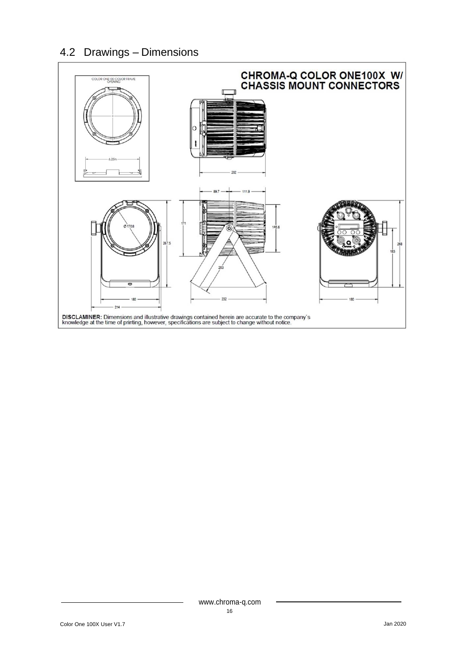# <span id="page-16-0"></span>4.2 Drawings – Dimensions